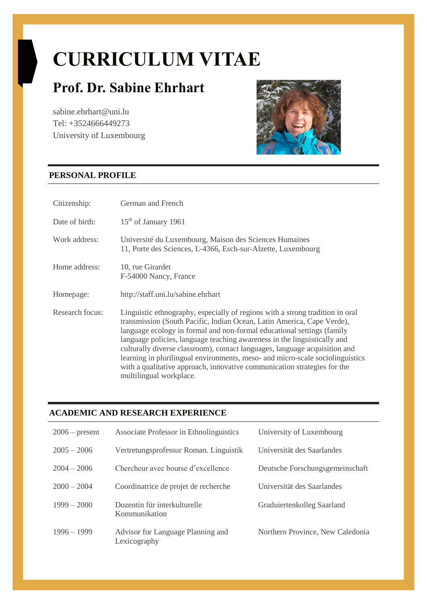# **CURRICULUM VITAE**

# **Prof. Dr. Sabine Ehrhart**

sabine.ehrhart@uni.lu Tel: +3524666449273 University of Luxembourg



# **PERSONAL PROFILE**

| Citizenship:    | German and French                                                                                                                                                                                                                                                                                                                                                                                                                                                                                                                                                                   |
|-----------------|-------------------------------------------------------------------------------------------------------------------------------------------------------------------------------------------------------------------------------------------------------------------------------------------------------------------------------------------------------------------------------------------------------------------------------------------------------------------------------------------------------------------------------------------------------------------------------------|
| Date of birth:  | $15th$ of January 1961                                                                                                                                                                                                                                                                                                                                                                                                                                                                                                                                                              |
| Work address:   | Université du Luxembourg, Maison des Sciences Humaines<br>11, Porte des Sciences, L-4366, Esch-sur-Alzette, Luxembourg                                                                                                                                                                                                                                                                                                                                                                                                                                                              |
| Home address:   | 10, rue Girardet<br>F-54000 Nancy, France                                                                                                                                                                                                                                                                                                                                                                                                                                                                                                                                           |
| Homepage:       | http://staff.uni.lu/sabine.ehrhart                                                                                                                                                                                                                                                                                                                                                                                                                                                                                                                                                  |
| Research focus: | Linguistic ethnography, especially of regions with a strong tradition in oral<br>transmission (South Pacific, Indian Ocean, Latin America, Cape Verde),<br>language ecology in formal and non-formal educational settings (family<br>language policies, language teaching awareness in the linguistically and<br>culturally diverse classroom), contact languages, language acquisition and<br>learning in plurilingual environments, meso- and micro-scale sociolinguistics<br>with a qualitative approach, innovative communication strategies for the<br>multilingual workplace. |

# **ACADEMIC AND RESEARCH EXPERIENCE**

| $2006$ – present | Associate Professor in Ethnolinguistics           | University of Luxembourg         |
|------------------|---------------------------------------------------|----------------------------------|
| $2005 - 2006$    | Vertretungsprofessur Roman. Linguistik            | Universität des Saarlandes       |
| $2004 - 2006$    | Chercheur avec bourse d'excellence                | Deutsche Forschungsgemeinschaft  |
| $2000 - 2004$    | Coordinatrice de projet de recherche              | Universität des Saarlandes       |
| $1999 - 2000$    | Dozentin für interkulturelle<br>Kommunikation     | Graduiertenkolleg Saarland       |
| $1996 - 1999$    | Advisor for Language Planning and<br>Lexicography | Northern Province, New Caledonia |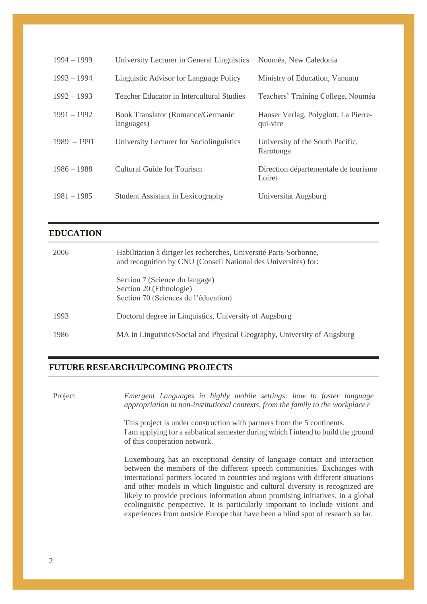| $1994 - 1999$ | University Lecturer in General Linguistics      | Nouméa, New Caledonia                            |
|---------------|-------------------------------------------------|--------------------------------------------------|
| $1993 - 1994$ | Linguistic Advisor for Language Policy          | Ministry of Education, Vanuatu                   |
| $1992 - 1993$ | Teacher Educator in Intercultural Studies       | Teachers' Training College, Nouméa               |
| $1991 - 1992$ | Book Translator (Romance/Germanic<br>languages) | Hanser Verlag, Polyglott, La Pierre-<br>qui-vire |
| $1989 - 1991$ | University Lecturer for Sociolinguistics        | University of the South Pacific,<br>Rarotonga    |
| $1986 - 1988$ | <b>Cultural Guide for Tourism</b>               | Direction départementale de tourisme<br>Loiret   |
| $1981 - 1985$ | Student Assistant in Lexicography               | Universität Augsburg                             |

### **EDUCATION**

| 2006 | Habilitation à diriger les recherches, Université Paris-Sorbonne,<br>and recognition by CNU (Conseil National des Universités) for: |
|------|-------------------------------------------------------------------------------------------------------------------------------------|
|      | Section 7 (Science du langage)<br>Section 20 (Ethnologie)<br>Section 70 (Sciences de l'éducation)                                   |
| 1993 | Doctoral degree in Linguistics, University of Augsburg                                                                              |
| 1986 | MA in Linguistics/Social and Physical Geography, University of Augsburg                                                             |

#### **FUTURE RESEARCH/UPCOMING PROJECTS**

Project *Emergent Languages in highly mobile settings: how to foster language appropriation in non-institutional contexts, from the family to the workplace?*

> This project is under construction with partners from the 5 continents. I am applying for a sabbatical semester during which I intend to build the ground of this cooperation network.

> Luxembourg has an exceptional density of language contact and interaction between the members of the different speech communities. Exchanges with international partners located in countries and regions with different situations and other models in which linguistic and cultural diversity is recognized are likely to provide precious information about promising initiatives, in a global ecolinguistic perspective. It is particularly important to include visions and experiences from outside Europe that have been a blind spot of research so far.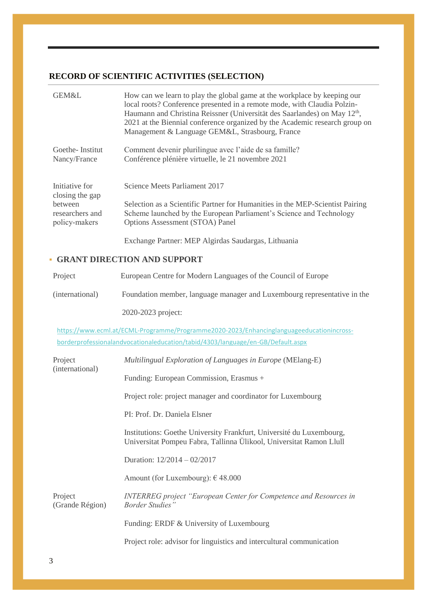# **RECORD OF SCIENTIFIC ACTIVITIES (SELECTION)**

| GEM&L                             | How can we learn to play the global game at the workplace by keeping our<br>local roots? Conference presented in a remote mode, with Claudia Polzin-<br>Haumann and Christina Reissner (Universität des Saarlandes) on May 12 <sup>th</sup> ,<br>2021 at the Biennial conference organized by the Academic research group on<br>Management & Language GEM&L, Strasbourg, France |
|-----------------------------------|---------------------------------------------------------------------------------------------------------------------------------------------------------------------------------------------------------------------------------------------------------------------------------------------------------------------------------------------------------------------------------|
| Goethe-Institut<br>Nancy/France   | Comment devenir plurilingue avec l'aide de sa famille?<br>Conférence plénière virtuelle, le 21 novembre 2021                                                                                                                                                                                                                                                                    |
| Initiative for<br>closing the gap | Science Meets Parliament 2017                                                                                                                                                                                                                                                                                                                                                   |
| <b>between</b><br>researchers and | Selection as a Scientific Partner for Humanities in the MEP-Scientist Pairing<br>Scheme launched by the European Parliament's Science and Technology                                                                                                                                                                                                                            |
| policy-makers                     | <b>Options Assessment (STOA) Panel</b><br>Exchange Partner: MEP Algirdas Saudargas, Lithuania                                                                                                                                                                                                                                                                                   |

# **GRANT DIRECTION AND SUPPORT**

| Project         | European Centre for Modern Languages of the Council of Europe            |
|-----------------|--------------------------------------------------------------------------|
| (international) | Foundation member, language manager and Luxembourg representative in the |

2020-2023 project:

[https://www.ecml.at/ECML-Programme/Programme2020-2023/Enhancinglanguageeducationincross](https://www.ecml.at/ECML-Programme/Programme2020-2023/Enhancinglanguageeducationincross-%20%20%20%20%20%20%20%20%20%20%20%20%20%20%20%20%20borderprofessionalandvocationaleducation/tabid/4303/language/en-GB/Default.aspx)[borderprofessionalandvocationaleducation/tabid/4303/language/en-GB/Default.aspx](https://www.ecml.at/ECML-Programme/Programme2020-2023/Enhancinglanguageeducationincross-%20%20%20%20%20%20%20%20%20%20%20%20%20%20%20%20%20borderprofessionalandvocationaleducation/tabid/4303/language/en-GB/Default.aspx)

| Project<br>(international) | Multilingual Exploration of Languages in Europe (MElang-E)                                                                                  |
|----------------------------|---------------------------------------------------------------------------------------------------------------------------------------------|
|                            | Funding: European Commission, Erasmus +                                                                                                     |
|                            | Project role: project manager and coordinator for Luxembourg                                                                                |
|                            | PI: Prof. Dr. Daniela Elsner                                                                                                                |
|                            | Institutions: Goethe University Frankfurt, Université du Luxembourg,<br>Universitat Pompeu Fabra, Tallinna Ülikool, Universitat Ramon Llull |
|                            | Duration: $12/2014 - 02/2017$                                                                                                               |
|                            | Amount (for Luxembourg): $\epsilon$ 48.000                                                                                                  |
| Project<br>(Grande Région) | <b>INTERREG</b> project "European Center for Competence and Resources in<br><b>Border Studies</b> "                                         |
|                            | Funding: ERDF & University of Luxembourg                                                                                                    |
|                            | Project role: advisor for linguistics and intercultural communication                                                                       |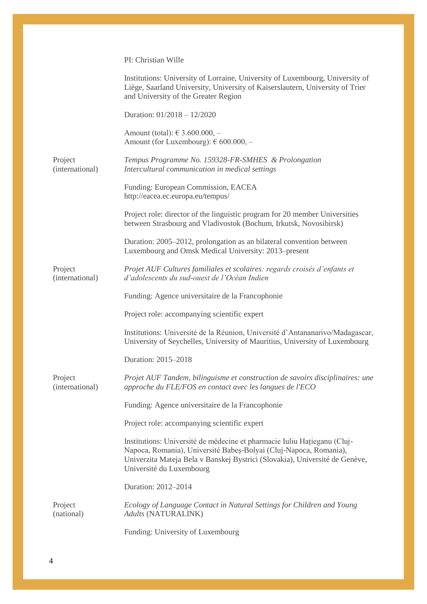#### PI: Christian Wille

|                            | Institutions: University of Lorraine, University of Luxembourg, University of<br>Liège, Saarland University, University of Kaiserslautern, University of Trier<br>and University of the Greater Region                                                   |
|----------------------------|----------------------------------------------------------------------------------------------------------------------------------------------------------------------------------------------------------------------------------------------------------|
|                            | Duration: 01/2018 - 12/2020                                                                                                                                                                                                                              |
|                            | Amount (total): € 3.600.000, –<br>Amount (for Luxembourg): $\epsilon$ 600.000, -                                                                                                                                                                         |
| Project<br>(international) | Tempus Programme No. 159328-FR-SMHES & Prolongation<br>Intercultural communication in medical settings                                                                                                                                                   |
|                            | Funding: European Commission, EACEA<br>http://eacea.ec.europa.eu/tempus/                                                                                                                                                                                 |
|                            | Project role: director of the linguistic program for 20 member Universities<br>between Strasbourg and Vladivostok (Bochum, Irkutsk, Novosibirsk)                                                                                                         |
|                            | Duration: 2005–2012, prolongation as an bilateral convention between<br>Luxembourg and Omsk Medical University: 2013–present                                                                                                                             |
| Project<br>(international) | Projet AUF Cultures familiales et scolaires: regards croisés d'enfants et<br>d'adolescents du sud-ouest de l'Océan Indien                                                                                                                                |
|                            | Funding: Agence universitaire de la Francophonie                                                                                                                                                                                                         |
|                            | Project role: accompanying scientific expert                                                                                                                                                                                                             |
|                            | Institutions: Université de la Réunion, Université d'Antananarivo/Madagascar,<br>University of Seychelles, University of Mauritius, University of Luxembourg                                                                                             |
|                            | Duration: 2015-2018                                                                                                                                                                                                                                      |
| Project<br>(international) | Projet AUF Tandem, bilinguisme et construction de savoirs disciplinaires: une<br>approche du FLE/FOS en contact avec les langues de l'ECO                                                                                                                |
|                            | Funding: Agence universitaire de la Francophonie                                                                                                                                                                                                         |
|                            | Project role: accompanying scientific expert                                                                                                                                                                                                             |
|                            | Institutions: Université de médecine et pharmacie Iuliu Hațieganu (Cluj-<br>Napoca, Romania), Université Babeș-Bolyai (Cluj-Napoca, Romania),<br>Univerzita Mateja Bela v Banskej Bystrici (Slovakia), Université de Genève,<br>Université du Luxembourg |
|                            | Duration: 2012-2014                                                                                                                                                                                                                                      |
| Project<br>(national)      | Ecology of Language Contact in Natural Settings for Children and Young<br><b>Adults (NATURALINK)</b>                                                                                                                                                     |
|                            | Funding: University of Luxembourg                                                                                                                                                                                                                        |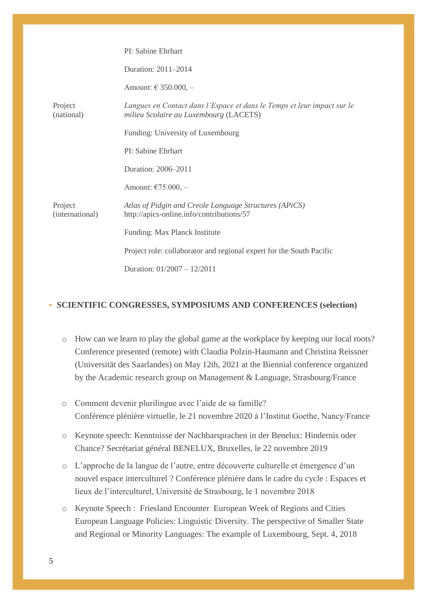|                            | PI: Sabine Ehrhart                                                                                                |
|----------------------------|-------------------------------------------------------------------------------------------------------------------|
|                            | Duration: 2011-2014                                                                                               |
|                            | Amount: € 350.000, –                                                                                              |
| Project<br>(national)      | Langues en Contact dans l'Espace et dans le Temps et leur impact sur le<br>milieu Scolaire au Luxembourg (LACETS) |
|                            | Funding: University of Luxembourg                                                                                 |
|                            | PI: Sabine Ehrhart                                                                                                |
|                            | Duration: 2006-2011                                                                                               |
|                            | Amount: $\epsilon$ 75.000, -                                                                                      |
| Project<br>(international) | Atlas of Pidgin and Creole Language Structures (APiCS)<br>http://apics-online.info/contributions/57               |
|                            | Funding: Max Planck Institute                                                                                     |
|                            | Project role: collaborator and regional expert for the South Pacific                                              |
|                            | Duration: $01/2007 - 12/2011$                                                                                     |

#### **SCIENTIFIC CONGRESSES, SYMPOSIUMS AND CONFERENCES (selection)**

- o How can we learn to play the global game at the workplace by keeping our local roots? Conference presented (remote) with Claudia Polzin-Haumann and Christina Reissner (Universität des Saarlandes) on May 12th, 2021 at the Biennial conference organized by the Academic research group on Management & Language, Strasbourg/France
- o Comment devenir plurilingue avec l'aide de sa famille? Conférence plénière virtuelle, le 21 novembre 2020 à l'Institut Goethe, Nancy/France
- o Keynote speech: Kenntnisse der Nachbarsprachen in der Benelux: Hindernis oder Chance? Secrétariat général BENELUX, Bruxelles, le 22 novembre 2019
- o L'approche de la langue de l'autre, entre découverte culturelle et émergence d'un nouvel espace interculturel ? Conférence plénière dans le cadre du cycle : Espaces et lieux de l'interculturel, Université de Strasbourg, le 1 novembre 2018
- o Keynote Speech : Friesland Encounter European Week of Regions and Cities European Language Policies: Linguistic Diversity. The perspective of Smaller State and Regional or Minority Languages: The example of Luxembourg, Sept. 4, 2018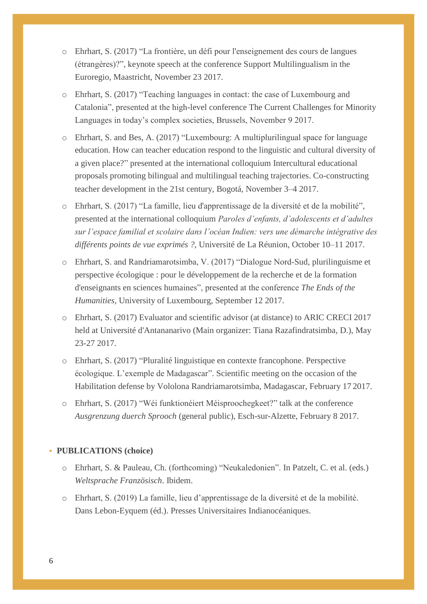- o Ehrhart, S. (2017) "La frontière, un défi pour l'enseignement des cours de langues (étrangères)?", keynote speech at the conference Support Multilingualism in the Euroregio, Maastricht, November 23 2017.
- o Ehrhart, S. (2017) "Teaching languages in contact: the case of Luxembourg and Catalonia", presented at the high-level conference The Current Challenges for Minority Languages in today's complex societies, Brussels, November 9 2017.
- o Ehrhart, S. and Bes, A. (2017) "Luxembourg: A multiplurilingual space for language education. How can teacher education respond to the linguistic and cultural diversity of a given place?" presented at the international colloquium Intercultural educational proposals promoting bilingual and multilingual teaching trajectories. Co-constructing teacher development in the 21st century, Bogotá, November 3–4 2017.
- o Ehrhart, S. (2017) "La famille, lieu d'apprentissage de la diversité et de la mobilité", presented at the international colloquium *Paroles d'enfants, d'adolescents et d'adultes sur l'espace familial et scolaire dans l'océan Indien: vers une démarche intégrative des différents points de vue exprimés ?*, Université de La Réunion, October 10–11 2017.
- o Ehrhart, S. and Randriamarotsimba, V. (2017) "Dialogue Nord-Sud, plurilinguisme et perspective écologique : pour le développement de la recherche et de la formation d'enseignants en sciences humaines", presented at the conference *The Ends of the Humanities*, University of Luxembourg, September 12 2017.
- o Ehrhart, S. (2017) Evaluator and scientific advisor (at distance) to ARIC CRECI 2017 held at Université d'Antananarivo (Main organizer: Tiana Razafindratsimba, D.), May 23-27 2017.
- o Ehrhart, S. (2017) "Pluralité linguistique en contexte francophone. Perspective écologique. L'exemple de Madagascar". Scientific meeting on the occasion of the Habilitation defense by Vololona Randriamarotsimba, Madagascar, February 17 2017.
- o Ehrhart, S. (2017) "Wéi funktionéiert Méisproochegkeet?" talk at the conference *Ausgrenzung duerch Sprooch* (general public), Esch-sur-Alzette, February 8 2017.

#### **PUBLICATIONS (choice)**

- o Ehrhart, S. & Pauleau, Ch. (forthcoming) "Neukaledonien". In Patzelt, C. et al. (eds.) *Weltsprache Französisch*. Ibidem.
- o Ehrhart, S. (2019) La famille, lieu d'apprentissage de la diversité et de la mobilité. Dans Lebon-Eyquem (éd.). Presses Universitaires Indianocéaniques.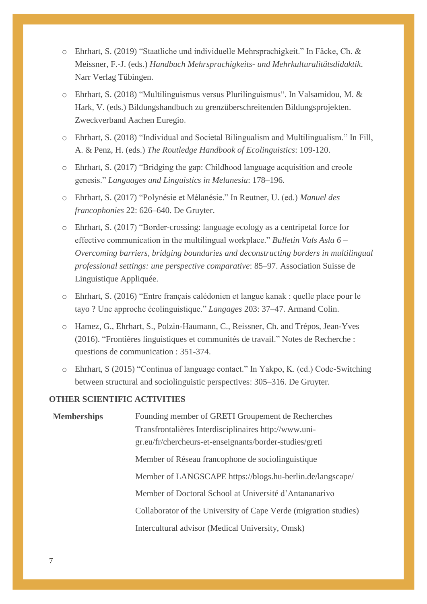- o Ehrhart, S. (2019) "Staatliche und individuelle Mehrsprachigkeit." In Fäcke, Ch. & Meissner, F.-J. (eds.) *Handbuch Mehrsprachigkeits- und Mehrkulturalitätsdidaktik*. Narr Verlag Tübingen.
- o Ehrhart, S. (2018) "Multilinguismus versus Plurilinguismus". In Valsamidou, M. & Hark, V. (eds.) Bildungshandbuch zu grenzüberschreitenden Bildungsprojekten. Zweckverband Aachen Euregio.
- o Ehrhart, S. (2018) "Individual and Societal Bilingualism and Multilingualism." In Fill, A. & Penz, H. (eds.) *The Routledge Handbook of Ecolinguistics*: 109-120.
- o Ehrhart, S. (2017) "Bridging the gap: Childhood language acquisition and creole genesis." *Languages and Linguistics in Melanesia*: 178–196.
- o Ehrhart, S. (2017) "Polynésie et Mélanésie." In Reutner, U. (ed.) *Manuel des francophonies* 22: 626–640. De Gruyter.
- o Ehrhart, S. (2017) "Border-crossing: language ecology as a centripetal force for effective communication in the multilingual workplace." *Bulletin Vals Asla 6* – *Overcoming barriers, bridging boundaries and deconstructing borders in multilingual professional settings: une perspective comparative*: 85–97. Association Suisse de Linguistique Appliquée.
- o Ehrhart, S. (2016) "Entre français calédonien et langue kanak : quelle place pour le tayo ? Une approche écolinguistique." *Langages* 203: 37–47. Armand Colin.
- o Hamez, G., Ehrhart, S., Polzin-Haumann, C., Reissner, Ch. and Trépos, Jean-Yves (2016). "Frontières linguistiques et communités de travail." Notes de Recherche : questions de communication : 351-374.
- o Ehrhart, S (2015) "Continua of language contact." In Yakpo, K. (ed.) Code-Switching between structural and sociolinguistic perspectives: 305–316. De Gruyter.

#### **OTHER SCIENTIFIC ACTIVITIES**

| <b>Memberships</b> | Founding member of GRETI Groupement de Recherches                |
|--------------------|------------------------------------------------------------------|
|                    | Transfrontalières Interdisciplinaires http://www.uni-            |
|                    | gr.eu/fr/chercheurs-et-enseignants/border-studies/greti          |
|                    | Member of Réseau francophone de sociolinguistique                |
|                    | Member of LANGSCAPE https://blogs.hu-berlin.de/langscape/        |
|                    | Member of Doctoral School at Université d'Antananarivo           |
|                    | Collaborator of the University of Cape Verde (migration studies) |
|                    | Intercultural advisor (Medical University, Omsk)                 |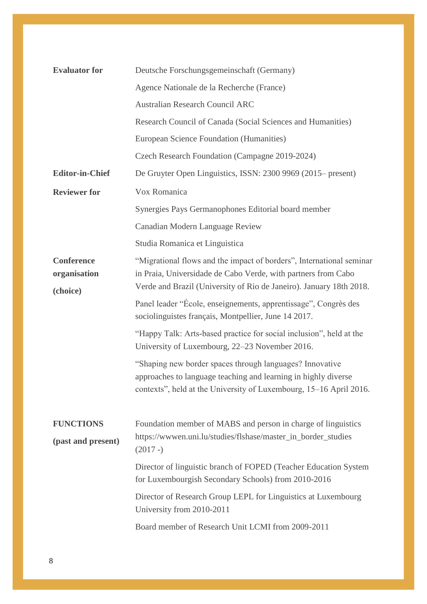| <b>Evaluator for</b>                          | Deutsche Forschungsgemeinschaft (Germany)                                                                                                                                                                    |
|-----------------------------------------------|--------------------------------------------------------------------------------------------------------------------------------------------------------------------------------------------------------------|
|                                               | Agence Nationale de la Recherche (France)                                                                                                                                                                    |
|                                               | <b>Australian Research Council ARC</b>                                                                                                                                                                       |
|                                               | Research Council of Canada (Social Sciences and Humanities)                                                                                                                                                  |
|                                               | European Science Foundation (Humanities)                                                                                                                                                                     |
|                                               | Czech Research Foundation (Campagne 2019-2024)                                                                                                                                                               |
| <b>Editor-in-Chief</b>                        | De Gruyter Open Linguistics, ISSN: 2300 9969 (2015– present)                                                                                                                                                 |
| <b>Reviewer for</b>                           | Vox Romanica                                                                                                                                                                                                 |
|                                               | Synergies Pays Germanophones Editorial board member                                                                                                                                                          |
|                                               | Canadian Modern Language Review                                                                                                                                                                              |
|                                               | Studia Romanica et Linguistica                                                                                                                                                                               |
| <b>Conference</b><br>organisation<br>(choice) | "Migrational flows and the impact of borders", International seminar<br>in Praia, Universidade de Cabo Verde, with partners from Cabo<br>Verde and Brazil (University of Rio de Janeiro). January 18th 2018. |
|                                               | Panel leader "École, enseignements, apprentissage", Congrès des<br>sociolinguistes français, Montpellier, June 14 2017.                                                                                      |
|                                               | "Happy Talk: Arts-based practice for social inclusion", held at the<br>University of Luxembourg, 22–23 November 2016.                                                                                        |
|                                               | "Shaping new border spaces through languages? Innovative<br>approaches to language teaching and learning in highly diverse<br>contexts", held at the University of Luxembourg, 15-16 April 2016.             |
| <b>FUNCTIONS</b><br>(past and present)        | Foundation member of MABS and person in charge of linguistics<br>https://wwwen.uni.lu/studies/flshase/master_in_border_studies                                                                               |
|                                               | $(2017 - )$                                                                                                                                                                                                  |
|                                               | Director of linguistic branch of FOPED (Teacher Education System<br>for Luxembourgish Secondary Schools) from 2010-2016                                                                                      |
|                                               | Director of Research Group LEPL for Linguistics at Luxembourg<br>University from 2010-2011                                                                                                                   |
|                                               | Board member of Research Unit LCMI from 2009-2011                                                                                                                                                            |
|                                               |                                                                                                                                                                                                              |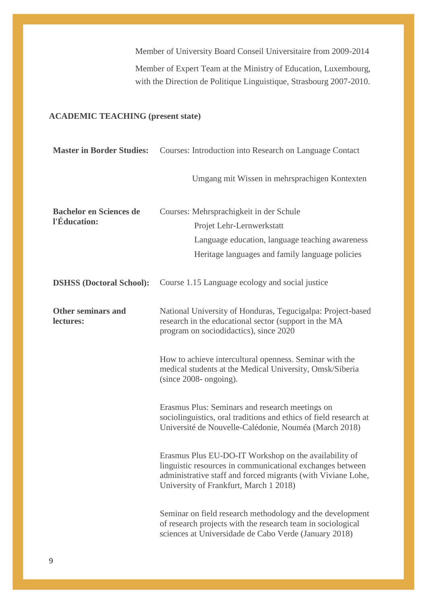Member of University Board Conseil Universitaire from 2009-2014 Member of Expert Team at the Ministry of Education, Luxembourg, with the Direction de Politique Linguistique, Strasbourg 2007-2010.

# **ACADEMIC TEACHING (present state)**

| <b>Master in Border Studies:</b>       | Courses: Introduction into Research on Language Contact                                                                                                                                                                      |
|----------------------------------------|------------------------------------------------------------------------------------------------------------------------------------------------------------------------------------------------------------------------------|
|                                        | Umgang mit Wissen in mehrsprachigen Kontexten                                                                                                                                                                                |
| <b>Bachelor en Sciences de</b>         | Courses: Mehrsprachigkeit in der Schule                                                                                                                                                                                      |
| l'Éducation:                           | Projet Lehr-Lernwerkstatt                                                                                                                                                                                                    |
|                                        | Language education, language teaching awareness                                                                                                                                                                              |
|                                        | Heritage languages and family language policies                                                                                                                                                                              |
| <b>DSHSS</b> (Doctoral School):        | Course 1.15 Language ecology and social justice                                                                                                                                                                              |
| <b>Other seminars and</b><br>lectures: | National University of Honduras, Tegucigalpa: Project-based<br>research in the educational sector (support in the MA<br>program on sociodidactics), since 2020                                                               |
|                                        | How to achieve intercultural openness. Seminar with the<br>medical students at the Medical University, Omsk/Siberia<br>$(since 2008- ongoing).$                                                                              |
|                                        | Erasmus Plus: Seminars and research meetings on<br>sociolinguistics, oral traditions and ethics of field research at<br>Université de Nouvelle-Calédonie, Nouméa (March 2018)                                                |
|                                        | Erasmus Plus EU-DO-IT Workshop on the availability of<br>linguistic resources in communicational exchanges between<br>administrative staff and forced migrants (with Viviane Lohe,<br>University of Frankfurt, March 1 2018) |
|                                        | Seminar on field research methodology and the development<br>of research projects with the research team in sociological<br>sciences at Universidade de Cabo Verde (January 2018)                                            |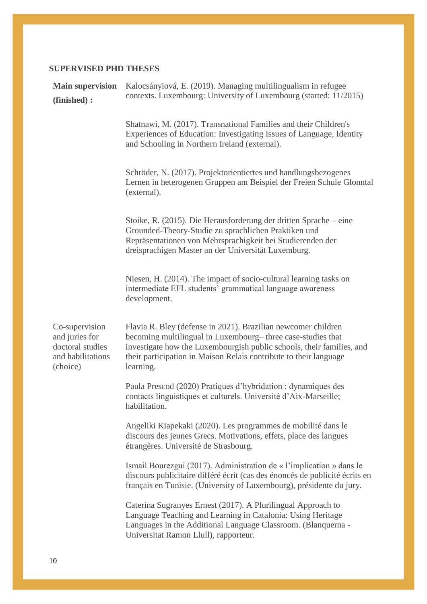# **SUPERVISED PHD THESES**

| <b>Main supervision</b><br>(finished):                                                | Kalocsányiová, E. (2019). Managing multilingualism in refugee<br>contexts. Luxembourg: University of Luxembourg (started: 11/2015)                                                                                                                                                       |
|---------------------------------------------------------------------------------------|------------------------------------------------------------------------------------------------------------------------------------------------------------------------------------------------------------------------------------------------------------------------------------------|
|                                                                                       | Shatnawi, M. (2017). Transnational Families and their Children's<br>Experiences of Education: Investigating Issues of Language, Identity<br>and Schooling in Northern Ireland (external).                                                                                                |
|                                                                                       | Schröder, N. (2017). Projektorientiertes und handlungsbezogenes<br>Lernen in heterogenen Gruppen am Beispiel der Freien Schule Glonntal<br>(external).                                                                                                                                   |
|                                                                                       | Stoike, R. (2015). Die Herausforderung der dritten Sprache – eine<br>Grounded-Theory-Studie zu sprachlichen Praktiken und<br>Repräsentationen von Mehrsprachigkeit bei Studierenden der<br>dreisprachigen Master an der Universität Luxemburg.                                           |
|                                                                                       | Niesen, H. (2014). The impact of socio-cultural learning tasks on<br>intermediate EFL students' grammatical language awareness<br>development.                                                                                                                                           |
| Co-supervision<br>and juries for<br>doctoral studies<br>and habilitations<br>(choice) | Flavia R. Bley (defense in 2021). Brazilian newcomer children<br>becoming multilingual in Luxembourg– three case-studies that<br>investigate how the Luxembourgish public schools, their families, and<br>their participation in Maison Relais contribute to their language<br>learning. |
|                                                                                       | Paula Prescod (2020) Pratiques d'hybridation : dynamiques des<br>contacts linguistiques et culturels. Université d'Aix-Marseille;<br>habilitation.                                                                                                                                       |
|                                                                                       | Angeliki Kiapekaki (2020). Les programmes de mobilité dans le<br>discours des jeunes Grecs. Motivations, effets, place des langues<br>étrangères. Université de Strasbourg.                                                                                                              |
|                                                                                       | Ismail Bourezgui (2017). Administration de « l'implication » dans le<br>discours publicitaire différé écrit (cas des énoncés de publicité écrits en<br>français en Tunisie. (University of Luxembourg), présidente du jury.                                                              |
|                                                                                       | Caterina Sugranyes Ernest (2017). A Plurilingual Approach to<br>Language Teaching and Learning in Catalonia: Using Heritage<br>Languages in the Additional Language Classroom. (Blanquerna -<br>Universitat Ramon Llull), rapporteur.                                                    |